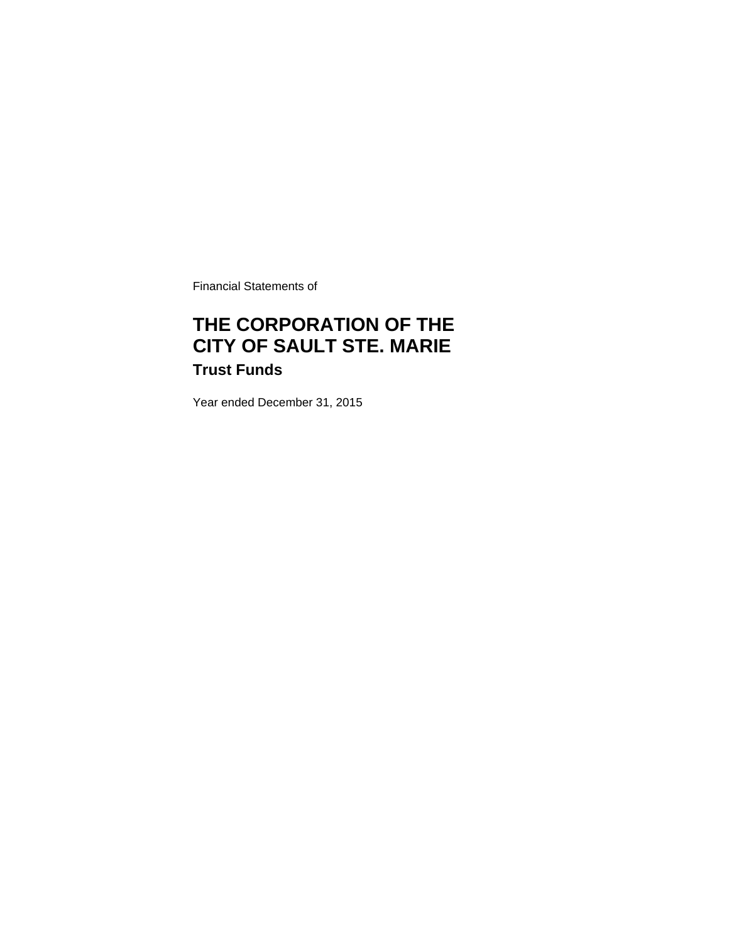Financial Statements of

# **THE CORPORATION OF THE CITY OF SAULT STE. MARIE Trust Funds**

Year ended December 31, 2015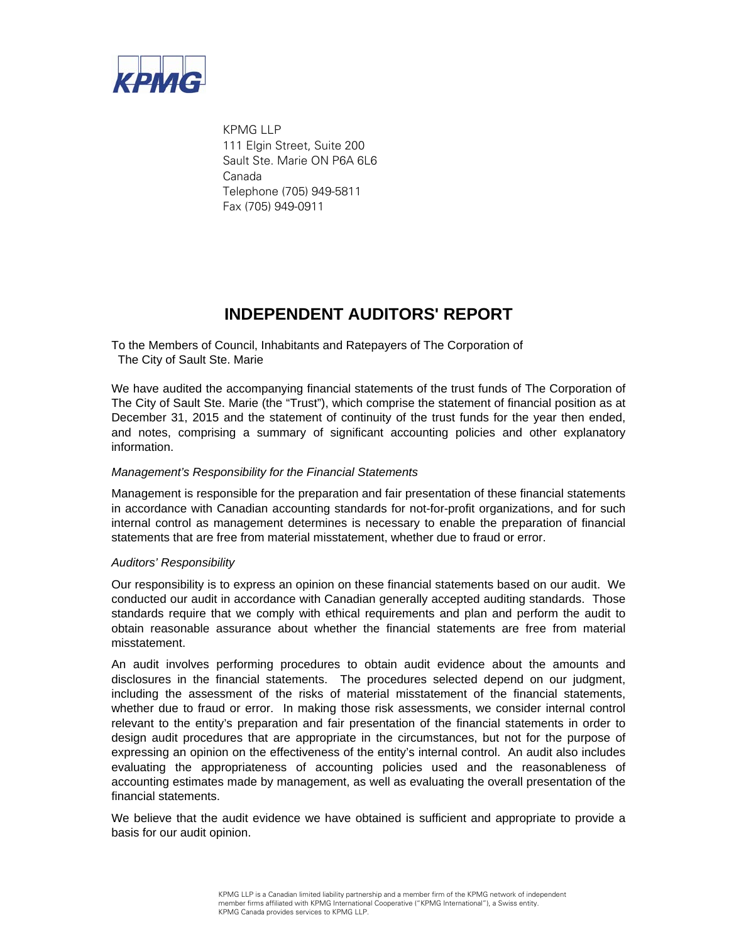

 KPMG LLP 111 Elgin Street, Suite 200 Sault Ste. Marie ON P6A 6L6 Canada Telephone (705) 949-5811 Fax (705) 949-0911

## **INDEPENDENT AUDITORS' REPORT**

To the Members of Council, Inhabitants and Ratepayers of The Corporation of The City of Sault Ste. Marie

We have audited the accompanying financial statements of the trust funds of The Corporation of The City of Sault Ste. Marie (the "Trust"), which comprise the statement of financial position as at December 31, 2015 and the statement of continuity of the trust funds for the year then ended, and notes, comprising a summary of significant accounting policies and other explanatory information.

### *Management's Responsibility for the Financial Statements*

Management is responsible for the preparation and fair presentation of these financial statements in accordance with Canadian accounting standards for not-for-profit organizations, and for such internal control as management determines is necessary to enable the preparation of financial statements that are free from material misstatement, whether due to fraud or error.

### *Auditors' Responsibility*

Our responsibility is to express an opinion on these financial statements based on our audit. We conducted our audit in accordance with Canadian generally accepted auditing standards. Those standards require that we comply with ethical requirements and plan and perform the audit to obtain reasonable assurance about whether the financial statements are free from material misstatement.

An audit involves performing procedures to obtain audit evidence about the amounts and disclosures in the financial statements. The procedures selected depend on our judgment, including the assessment of the risks of material misstatement of the financial statements, whether due to fraud or error. In making those risk assessments, we consider internal control relevant to the entity's preparation and fair presentation of the financial statements in order to design audit procedures that are appropriate in the circumstances, but not for the purpose of expressing an opinion on the effectiveness of the entity's internal control.An audit also includes evaluating the appropriateness of accounting policies used and the reasonableness of accounting estimates made by management, as well as evaluating the overall presentation of the financial statements.

We believe that the audit evidence we have obtained is sufficient and appropriate to provide a basis for our audit opinion.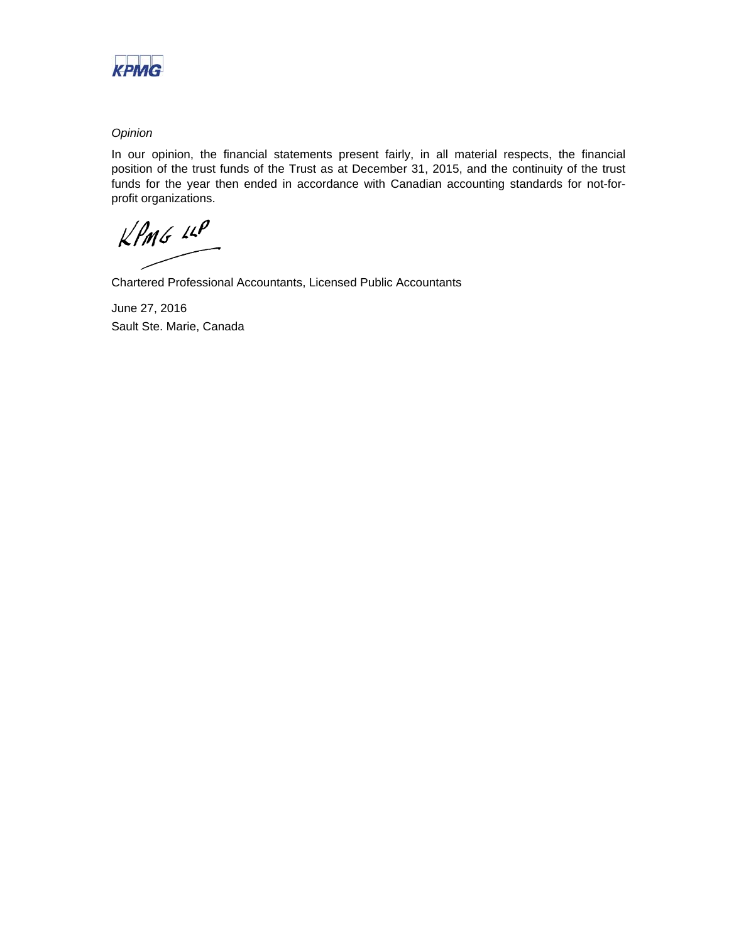

### *Opinion*

In our opinion, the financial statements present fairly, in all material respects, the financial position of the trust funds of the Trust as at December 31, 2015, and the continuity of the trust funds for the year then ended in accordance with Canadian accounting standards for not-forprofit organizations.

 $KPMG$  14P

Chartered Professional Accountants, Licensed Public Accountants

June 27, 2016 Sault Ste. Marie, Canada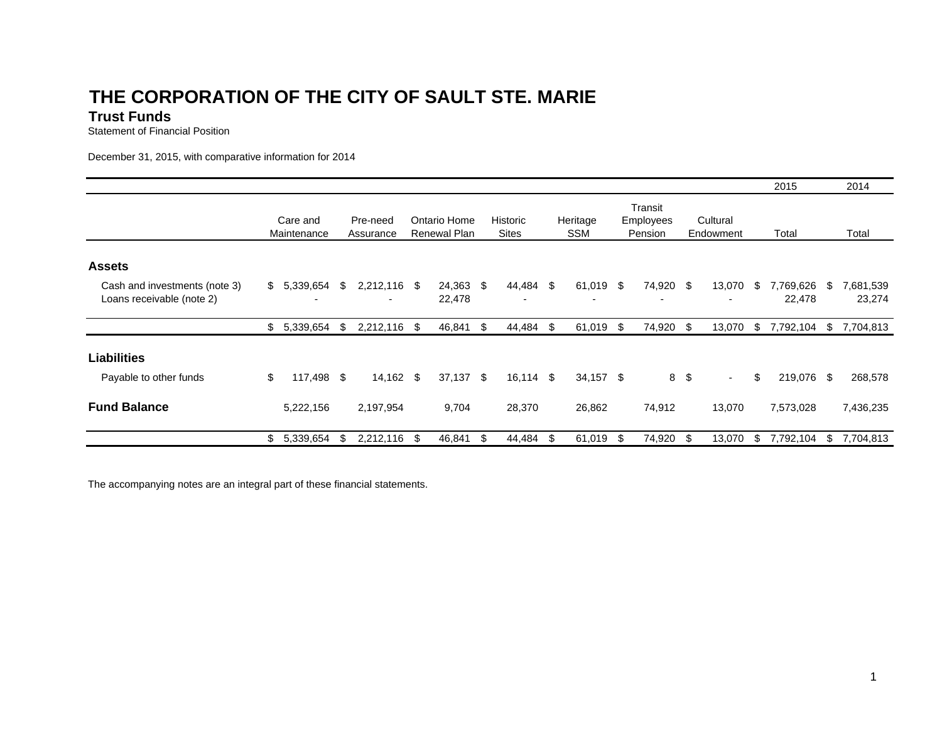# **THE CORPORATION OF THE CITY OF SAULT STE. MARI E**

### **Trust Funds**

Statement of Financial Position

December 31, 2015, with comparative information for 2014

|                                                            |                         |                                       |                       |                                          |                                     |                     |                          |                                    |                        |             |                                 |                             |                       |                                    |       | 2015                |       | 2014                |
|------------------------------------------------------------|-------------------------|---------------------------------------|-----------------------|------------------------------------------|-------------------------------------|---------------------|--------------------------|------------------------------------|------------------------|-------------|---------------------------------|-----------------------------|-----------------------|------------------------------------|-------|---------------------|-------|---------------------|
|                                                            | Care and<br>Maintenance |                                       | Pre-need<br>Assurance |                                          | Ontario Home<br><b>Renewal Plan</b> |                     | Historic<br><b>Sites</b> |                                    | Heritage<br><b>SSM</b> |             | Transit<br>Employees<br>Pension |                             | Cultural<br>Endowment |                                    | Total |                     | Total |                     |
| <b>Assets</b>                                              |                         |                                       |                       |                                          |                                     |                     |                          |                                    |                        |             |                                 |                             |                       |                                    |       |                     |       |                     |
| Cash and investments (note 3)<br>Loans receivable (note 2) | \$                      | 5,339,654<br>$\overline{\phantom{0}}$ | S                     | 2,212,116 \$<br>$\overline{\phantom{a}}$ |                                     | 24,363 \$<br>22,478 |                          | 44,484<br>$\overline{\phantom{a}}$ | -\$                    | 61,019<br>٠ | -\$                             | 74,920 \$<br>$\blacksquare$ |                       | 13,070<br>$\overline{\phantom{a}}$ | S     | 7,769,626<br>22,478 | S     | 7,681,539<br>23,274 |
|                                                            | \$                      | 5,339,654                             | S                     | 2,212,116 \$                             |                                     | 46,841              | -\$                      | 44,484                             | \$                     | 61,019      | - \$                            | 74,920 \$                   |                       | 13,070                             | S.    | 7,792,104           | S     | 7,704,813           |
| <b>Liabilities</b>                                         |                         |                                       |                       |                                          |                                     |                     |                          |                                    |                        |             |                                 |                             |                       |                                    |       |                     |       |                     |
| Payable to other funds                                     | \$                      | 117,498 \$                            |                       | 14,162 \$                                |                                     | $37,137$ \$         |                          | $16,114$ \$                        |                        | $34,157$ \$ |                                 |                             | 8 \$                  | $\overline{\phantom{a}}$           | \$    | 219,076 \$          |       | 268,578             |
| <b>Fund Balance</b>                                        |                         | 5,222,156                             |                       | 2,197,954                                |                                     | 9,704               |                          | 28,370                             |                        | 26,862      |                                 | 74,912                      |                       | 13,070                             |       | 7,573,028           |       | 7,436,235           |
|                                                            | \$                      | 5,339,654                             | S                     | 2,212,116 \$                             |                                     | 46,841              | \$.                      | 44,484                             | S                      | 61,019      | \$                              | 74,920                      | -S                    | 13,070                             | \$    | 7,792,104           | \$    | 7,704,813           |

The accompanying notes are an integral part of these financial statements.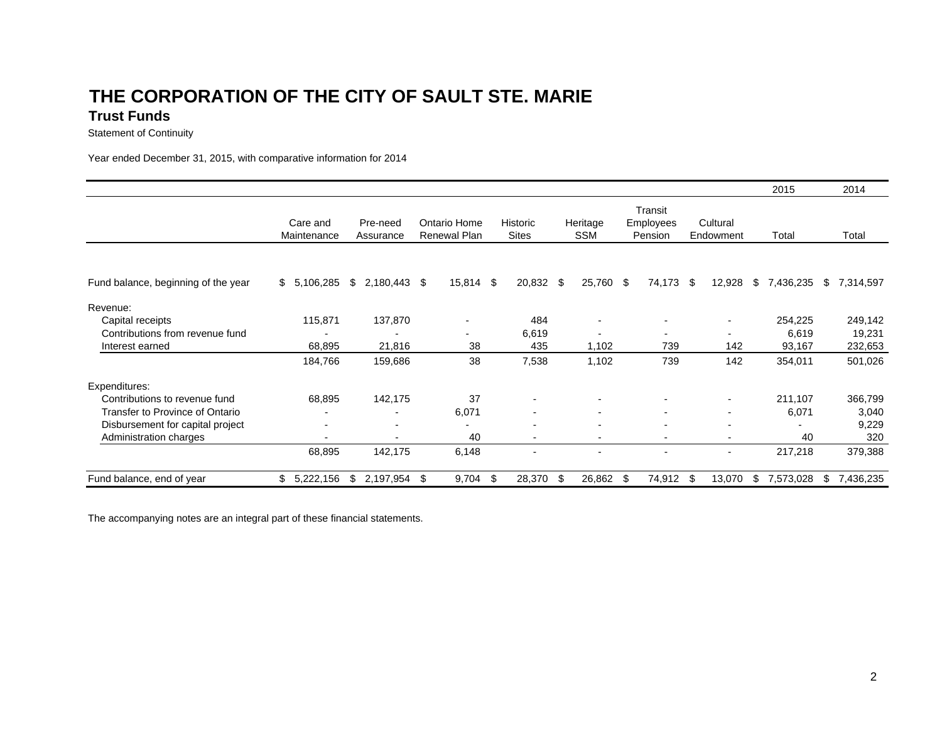### **THE CORPORATION OF THE CITY OF SAULT STE. MARI ETrust Funds**

Statement of Continuity

Year ended December 31, 2015, with comparative information for 2014

|                                     |                          |                          |                   |                          |                          |                             |                | 2015            | 2014            |  |
|-------------------------------------|--------------------------|--------------------------|-------------------|--------------------------|--------------------------|-----------------------------|----------------|-----------------|-----------------|--|
|                                     | Care and                 | Pre-need                 | Ontario Home      | Historic                 | Heritage                 | Transit<br><b>Employees</b> | Cultural       |                 |                 |  |
|                                     | Maintenance              | Assurance                | Renewal Plan      | <b>Sites</b>             | <b>SSM</b>               | Pension                     | Endowment      | Total           | Total           |  |
|                                     |                          |                          |                   |                          |                          |                             |                |                 |                 |  |
| Fund balance, beginning of the year | \$.<br>5,106,285         | 2,180,443<br>\$.         | \$<br>$15,814$ \$ | 20,832                   | -S<br>25,760             | \$.<br>74,173               | \$<br>12,928   | \$<br>7,436,235 | 7,314,597<br>\$ |  |
| Revenue:                            |                          |                          |                   |                          |                          |                             |                |                 |                 |  |
| Capital receipts                    | 115,871                  | 137,870                  |                   | 484                      |                          |                             |                | 254,225         | 249,142         |  |
| Contributions from revenue fund     |                          |                          |                   | 6,619                    | $\overline{\phantom{0}}$ | $\blacksquare$              |                | 6,619           | 19,231          |  |
| Interest earned                     | 68,895                   | 21,816                   | 38                | 435                      | 1,102                    | 739                         | 142            | 93,167          | 232,653         |  |
|                                     | 184,766                  | 159,686                  | 38                | 7,538                    | 1,102                    | 739                         | 142            | 354,011         | 501,026         |  |
| Expenditures:                       |                          |                          |                   |                          |                          |                             |                |                 |                 |  |
| Contributions to revenue fund       | 68,895                   | 142,175                  | 37                |                          |                          |                             |                | 211,107         | 366,799         |  |
| Transfer to Province of Ontario     | $\overline{\phantom{0}}$ | $\overline{\phantom{0}}$ | 6,071             |                          | $\overline{\phantom{a}}$ | $\blacksquare$              | ۰.             | 6,071           | 3,040           |  |
| Disbursement for capital project    | $\blacksquare$           | -                        |                   |                          |                          |                             |                |                 | 9,229           |  |
| Administration charges              | $\overline{\phantom{0}}$ | ۰                        | 40                | $\overline{\phantom{0}}$ | $\overline{\phantom{0}}$ | $\blacksquare$              | $\blacksquare$ | 40              | 320             |  |
|                                     | 68,895                   | 142,175                  | 6,148             |                          |                          |                             | ٠              | 217,218         | 379,388         |  |
| Fund balance, end of year           | \$<br>5,222,156          | 2,197,954<br>\$.         | 9,704<br>S.       | 28,370<br>\$.            | -S<br>26,862             | 74,912 \$<br>-S             | 13,070         | \$<br>7,573,028 | 7,436,235<br>\$ |  |

The accompanying notes are an integral part of these financial statements.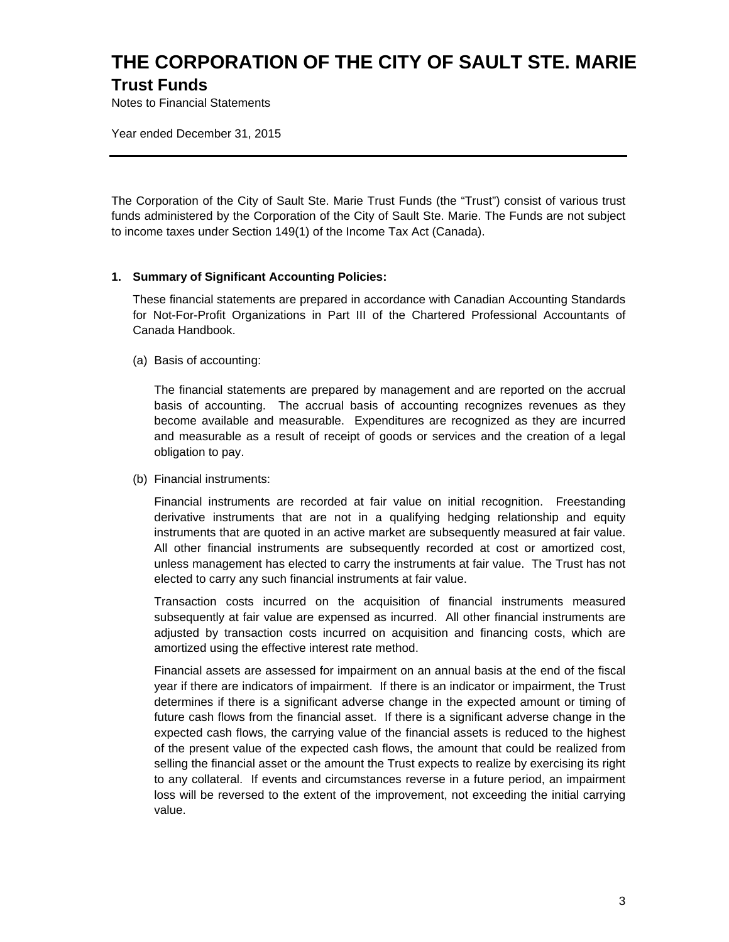# **THE CORPORATION OF THE CITY OF SAULT STE. MARIE Trust Funds**

Notes to Financial Statements

Year ended December 31, 2015

The Corporation of the City of Sault Ste. Marie Trust Funds (the "Trust") consist of various trust funds administered by the Corporation of the City of Sault Ste. Marie. The Funds are not subject to income taxes under Section 149(1) of the Income Tax Act (Canada).

### **1. Summary of Significant Accounting Policies:**

These financial statements are prepared in accordance with Canadian Accounting Standards for Not-For-Profit Organizations in Part III of the Chartered Professional Accountants of Canada Handbook.

(a) Basis of accounting:

The financial statements are prepared by management and are reported on the accrual basis of accounting. The accrual basis of accounting recognizes revenues as they become available and measurable. Expenditures are recognized as they are incurred and measurable as a result of receipt of goods or services and the creation of a legal obligation to pay.

(b) Financial instruments:

Financial instruments are recorded at fair value on initial recognition. Freestanding derivative instruments that are not in a qualifying hedging relationship and equity instruments that are quoted in an active market are subsequently measured at fair value. All other financial instruments are subsequently recorded at cost or amortized cost, unless management has elected to carry the instruments at fair value. The Trust has not elected to carry any such financial instruments at fair value.

Transaction costs incurred on the acquisition of financial instruments measured subsequently at fair value are expensed as incurred. All other financial instruments are adjusted by transaction costs incurred on acquisition and financing costs, which are amortized using the effective interest rate method.

Financial assets are assessed for impairment on an annual basis at the end of the fiscal year if there are indicators of impairment. If there is an indicator or impairment, the Trust determines if there is a significant adverse change in the expected amount or timing of future cash flows from the financial asset. If there is a significant adverse change in the expected cash flows, the carrying value of the financial assets is reduced to the highest of the present value of the expected cash flows, the amount that could be realized from selling the financial asset or the amount the Trust expects to realize by exercising its right to any collateral. If events and circumstances reverse in a future period, an impairment loss will be reversed to the extent of the improvement, not exceeding the initial carrying value.